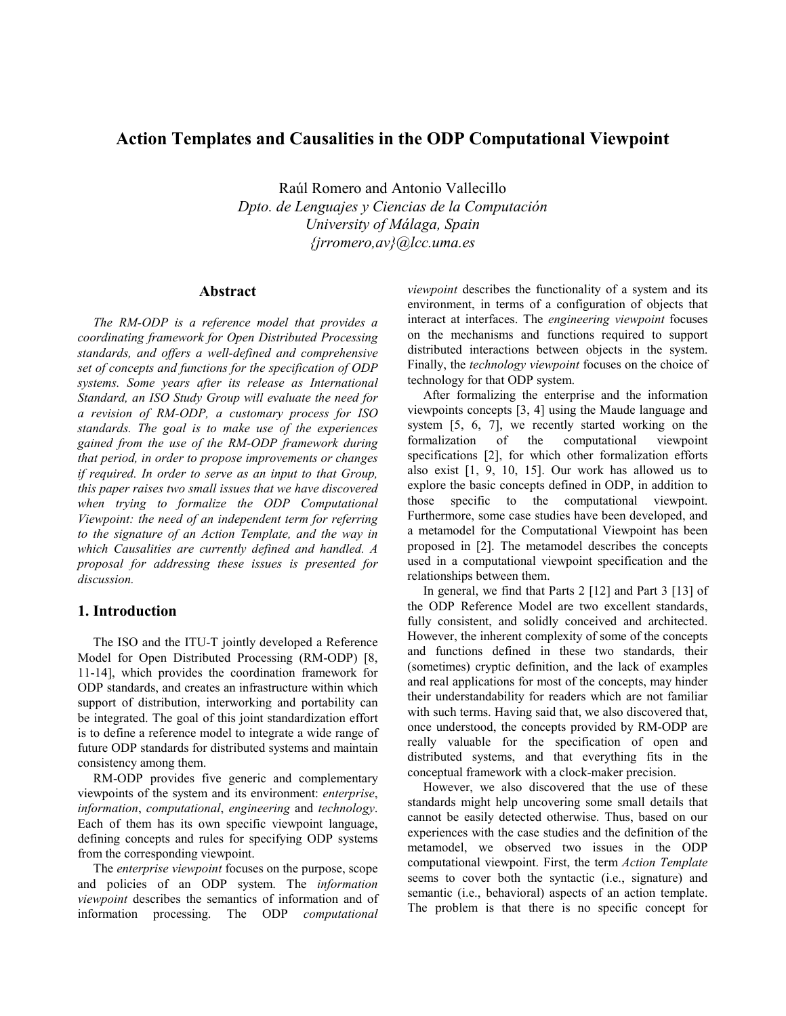# **Action Templates and Causalities in the ODP Computational Viewpoint**

Raúl Romero and Antonio Vallecillo *Dpto. de Lenguajes y Ciencias de la Computación University of Málaga, Spain {jrromero,av}@lcc.uma.es*

#### **Abstract**

*The RM-ODP is a reference model that provides a coordinating framework for Open Distributed Processing standards, and offers a well-defined and comprehensive set of concepts and functions for the specification of ODP systems. Some years after its release as International Standard, an ISO Study Group will evaluate the need for a revision of RM-ODP, a customary process for ISO standards. The goal is to make use of the experiences gained from the use of the RM-ODP framework during that period, in order to propose improvements or changes if required. In order to serve as an input to that Group, this paper raises two small issues that we have discovered when trying to formalize the ODP Computational Viewpoint: the need of an independent term for referring to the signature of an Action Template, and the way in which Causalities are currently defined and handled. A proposal for addressing these issues is presented for discussion.* 

# **1. Introduction**

The ISO and the ITU-T jointly developed a Reference Model for Open Distributed Processing (RM-ODP) [8, 11-14], which provides the coordination framework for ODP standards, and creates an infrastructure within which support of distribution, interworking and portability can be integrated. The goal of this joint standardization effort is to define a reference model to integrate a wide range of future ODP standards for distributed systems and maintain consistency among them.

RM-ODP provides five generic and complementary viewpoints of the system and its environment: *enterprise*, *information*, *computational*, *engineering* and *technology*. Each of them has its own specific viewpoint language, defining concepts and rules for specifying ODP systems from the corresponding viewpoint.

The *enterprise viewpoint* focuses on the purpose, scope and policies of an ODP system. The *information viewpoint* describes the semantics of information and of information processing. The ODP *computational* 

*viewpoint* describes the functionality of a system and its environment, in terms of a configuration of objects that interact at interfaces. The *engineering viewpoint* focuses on the mechanisms and functions required to support distributed interactions between objects in the system. Finally, the *technology viewpoint* focuses on the choice of technology for that ODP system.

After formalizing the enterprise and the information viewpoints concepts [3, 4] using the Maude language and system [5, 6, 7], we recently started working on the formalization of the computational viewpoint specifications [2], for which other formalization efforts also exist [1, 9, 10, 15]. Our work has allowed us to explore the basic concepts defined in ODP, in addition to those specific to the computational viewpoint. Furthermore, some case studies have been developed, and a metamodel for the Computational Viewpoint has been proposed in [2]. The metamodel describes the concepts used in a computational viewpoint specification and the relationships between them.

In general, we find that Parts 2 [12] and Part 3 [13] of the ODP Reference Model are two excellent standards, fully consistent, and solidly conceived and architected. However, the inherent complexity of some of the concepts and functions defined in these two standards, their (sometimes) cryptic definition, and the lack of examples and real applications for most of the concepts, may hinder their understandability for readers which are not familiar with such terms. Having said that, we also discovered that, once understood, the concepts provided by RM-ODP are really valuable for the specification of open and distributed systems, and that everything fits in the conceptual framework with a clock-maker precision.

However, we also discovered that the use of these standards might help uncovering some small details that cannot be easily detected otherwise. Thus, based on our experiences with the case studies and the definition of the metamodel, we observed two issues in the ODP computational viewpoint. First, the term *Action Template*  seems to cover both the syntactic (i.e., signature) and semantic (i.e., behavioral) aspects of an action template. The problem is that there is no specific concept for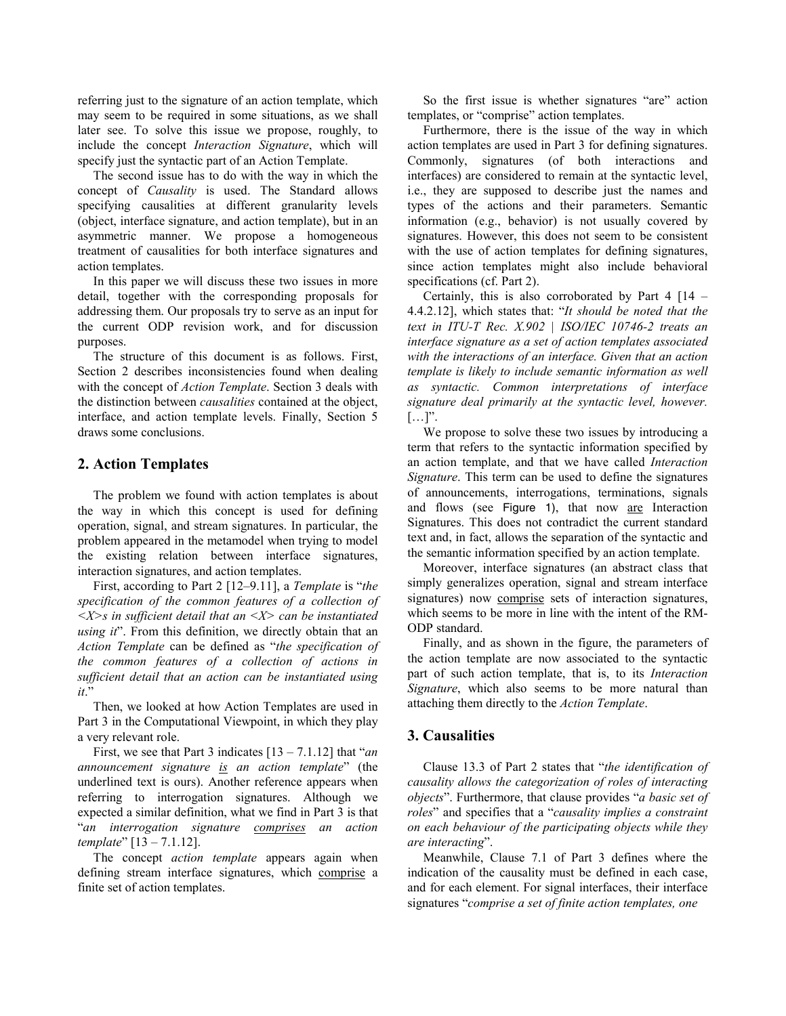referring just to the signature of an action template, which may seem to be required in some situations, as we shall later see. To solve this issue we propose, roughly, to include the concept *Interaction Signature*, which will specify just the syntactic part of an Action Template.

The second issue has to do with the way in which the concept of *Causality* is used. The Standard allows specifying causalities at different granularity levels (object, interface signature, and action template), but in an asymmetric manner. We propose a homogeneous treatment of causalities for both interface signatures and action templates.

In this paper we will discuss these two issues in more detail, together with the corresponding proposals for addressing them. Our proposals try to serve as an input for the current ODP revision work, and for discussion purposes.

The structure of this document is as follows. First, Section 2 describes inconsistencies found when dealing with the concept of *Action Template*. Section 3 deals with the distinction between *causalities* contained at the object, interface, and action template levels. Finally, Section 5 draws some conclusions.

## **2. Action Templates**

The problem we found with action templates is about the way in which this concept is used for defining operation, signal, and stream signatures. In particular, the problem appeared in the metamodel when trying to model the existing relation between interface signatures, interaction signatures, and action templates.

First, according to Part 2 [12–9.11], a *Template* is "*the specification of the common features of a collection of <X>s in sufficient detail that an <X> can be instantiated using it*". From this definition, we directly obtain that an *Action Template* can be defined as "*the specification of the common features of a collection of actions in sufficient detail that an action can be instantiated using it*."

Then, we looked at how Action Templates are used in Part 3 in the Computational Viewpoint, in which they play a very relevant role.

First, we see that Part 3 indicates [13 – 7.1.12] that "*an announcement signature is an action template*" (the underlined text is ours). Another reference appears when referring to interrogation signatures. Although we expected a similar definition, what we find in Part 3 is that "*an interrogation signature comprises an action template*" [13 – 7.1.12].

The concept *action template* appears again when defining stream interface signatures, which comprise a finite set of action templates.

So the first issue is whether signatures "are" action templates, or "comprise" action templates.

Furthermore, there is the issue of the way in which action templates are used in Part 3 for defining signatures. Commonly, signatures (of both interactions and interfaces) are considered to remain at the syntactic level, i.e., they are supposed to describe just the names and types of the actions and their parameters. Semantic information (e.g., behavior) is not usually covered by signatures. However, this does not seem to be consistent with the use of action templates for defining signatures, since action templates might also include behavioral specifications (cf. Part 2).

Certainly, this is also corroborated by Part  $4 \mid 14 -$ 4.4.2.12], which states that: "*It should be noted that the text in ITU-T Rec. X.902 | ISO/IEC 10746-2 treats an interface signature as a set of action templates associated with the interactions of an interface. Given that an action template is likely to include semantic information as well as syntactic. Common interpretations of interface signature deal primarily at the syntactic level, however.*  […]".

We propose to solve these two issues by introducing a term that refers to the syntactic information specified by an action template, and that we have called *Interaction Signature*. This term can be used to define the signatures of announcements, interrogations, terminations, signals and flows (see Figure 1), that now are Interaction Signatures. This does not contradict the current standard text and, in fact, allows the separation of the syntactic and the semantic information specified by an action template.

Moreover, interface signatures (an abstract class that simply generalizes operation, signal and stream interface signatures) now comprise sets of interaction signatures, which seems to be more in line with the intent of the RM-ODP standard.

Finally, and as shown in the figure, the parameters of the action template are now associated to the syntactic part of such action template, that is, to its *Interaction Signature*, which also seems to be more natural than attaching them directly to the *Action Template*.

# **3. Causalities**

Clause 13.3 of Part 2 states that "*the identification of causality allows the categorization of roles of interacting objects*". Furthermore, that clause provides "*a basic set of roles*" and specifies that a "*causality implies a constraint on each behaviour of the participating objects while they are interacting*".

Meanwhile, Clause 7.1 of Part 3 defines where the indication of the causality must be defined in each case, and for each element. For signal interfaces, their interface signatures "*comprise a set of finite action templates, one*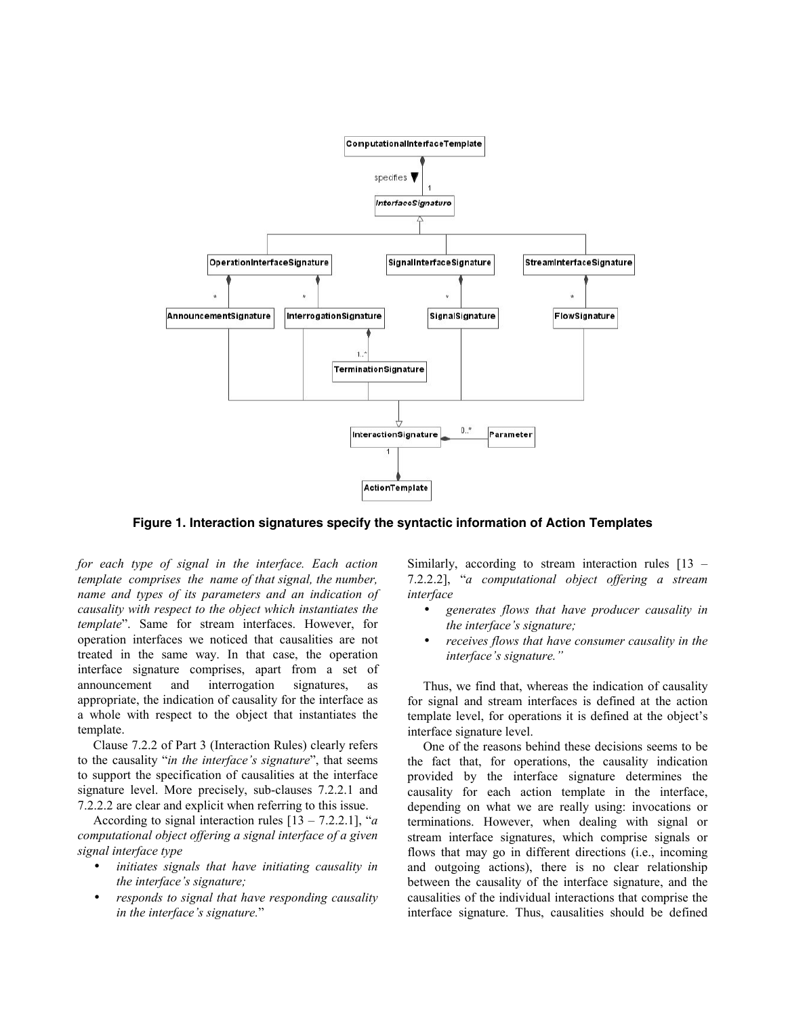

Figure 1. Interaction signatures specify the syntactic information of Action Templates

*for each type of signal in the interface. Each action template comprises the name of that signal, the number, name and types of its parameters and an indication of causality with respect to the object which instantiates the template*". Same for stream interfaces. However, for operation interfaces we noticed that causalities are not treated in the same way. In that case, the operation interface signature comprises, apart from a set of announcement and interrogation signatures, as appropriate, the indication of causality for the interface as a whole with respect to the object that instantiates the template.

Clause 7.2.2 of Part 3 (Interaction Rules) clearly refers to the causality "*in the interface's signature*", that seems to support the specification of causalities at the interface signature level. More precisely, sub-clauses 7.2.2.1 and 7.2.2.2 are clear and explicit when referring to this issue.

According to signal interaction rules [13 – 7.2.2.1], "*a computational object offering a signal interface of a given signal interface type* 

- *initiates signals that have initiating causality in the interface's signature;*
- *responds to signal that have responding causality in the interface's signature.*"

Similarly, according to stream interaction rules [13 – 7.2.2.2], "*a computational object offering a stream interface* 

- *generates flows that have producer causality in the interface's signature;*
- *receives flows that have consumer causality in the interface's signature."*

Thus, we find that, whereas the indication of causality for signal and stream interfaces is defined at the action template level, for operations it is defined at the object's interface signature level.

One of the reasons behind these decisions seems to be the fact that, for operations, the causality indication provided by the interface signature determines the causality for each action template in the interface, depending on what we are really using: invocations or terminations. However, when dealing with signal or stream interface signatures, which comprise signals or flows that may go in different directions (i.e., incoming and outgoing actions), there is no clear relationship between the causality of the interface signature, and the causalities of the individual interactions that comprise the interface signature. Thus, causalities should be defined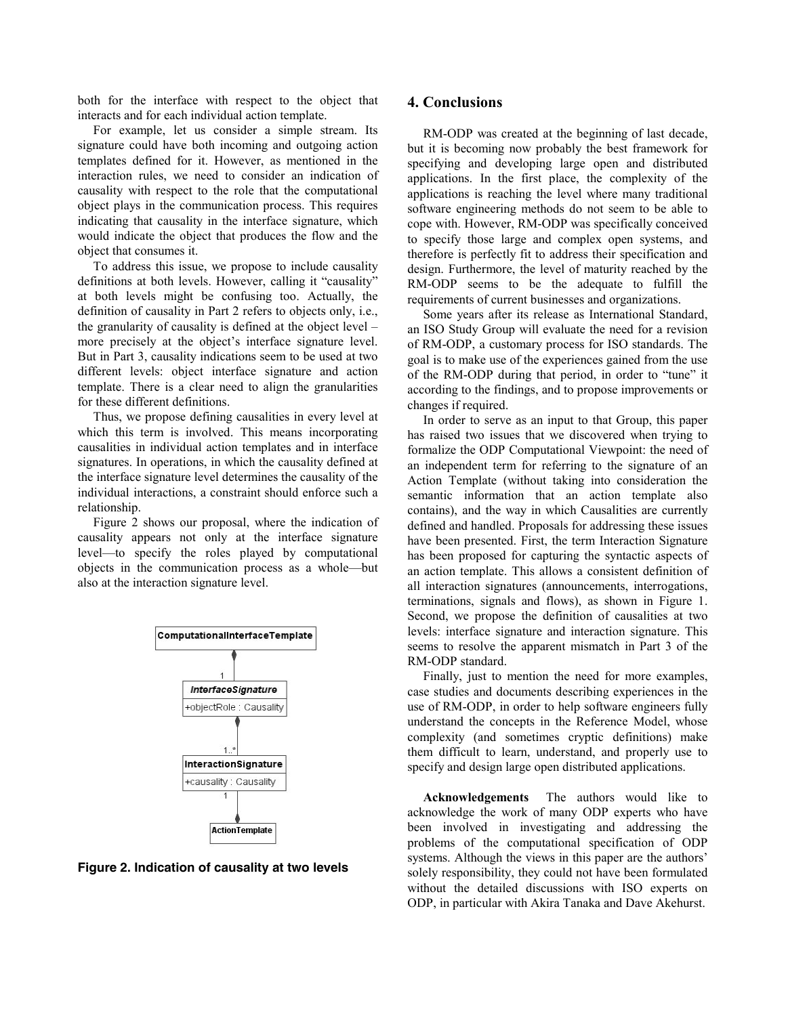both for the interface with respect to the object that interacts and for each individual action template.

For example, let us consider a simple stream. Its signature could have both incoming and outgoing action templates defined for it. However, as mentioned in the interaction rules, we need to consider an indication of causality with respect to the role that the computational object plays in the communication process. This requires indicating that causality in the interface signature, which would indicate the object that produces the flow and the object that consumes it.

To address this issue, we propose to include causality definitions at both levels. However, calling it "causality" at both levels might be confusing too. Actually, the definition of causality in Part 2 refers to objects only, i.e., the granularity of causality is defined at the object level – more precisely at the object's interface signature level. But in Part 3, causality indications seem to be used at two different levels: object interface signature and action template. There is a clear need to align the granularities for these different definitions.

Thus, we propose defining causalities in every level at which this term is involved. This means incorporating causalities in individual action templates and in interface signatures. In operations, in which the causality defined at the interface signature level determines the causality of the individual interactions, a constraint should enforce such a relationship.

Figure 2 shows our proposal, where the indication of causality appears not only at the interface signature level—to specify the roles played by computational objects in the communication process as a whole—but also at the interaction signature level.



Figure 2. Indication of causality at two levels

#### **4. Conclusions**

RM-ODP was created at the beginning of last decade, but it is becoming now probably the best framework for specifying and developing large open and distributed applications. In the first place, the complexity of the applications is reaching the level where many traditional software engineering methods do not seem to be able to cope with. However, RM-ODP was specifically conceived to specify those large and complex open systems, and therefore is perfectly fit to address their specification and design. Furthermore, the level of maturity reached by the RM-ODP seems to be the adequate to fulfill the requirements of current businesses and organizations.

Some years after its release as International Standard, an ISO Study Group will evaluate the need for a revision of RM-ODP, a customary process for ISO standards. The goal is to make use of the experiences gained from the use of the RM-ODP during that period, in order to "tune" it according to the findings, and to propose improvements or changes if required.

In order to serve as an input to that Group, this paper has raised two issues that we discovered when trying to formalize the ODP Computational Viewpoint: the need of an independent term for referring to the signature of an Action Template (without taking into consideration the semantic information that an action template also contains), and the way in which Causalities are currently defined and handled. Proposals for addressing these issues have been presented. First, the term Interaction Signature has been proposed for capturing the syntactic aspects of an action template. This allows a consistent definition of all interaction signatures (announcements, interrogations, terminations, signals and flows), as shown in Figure 1. Second, we propose the definition of causalities at two levels: interface signature and interaction signature. This seems to resolve the apparent mismatch in Part 3 of the RM-ODP standard.

Finally, just to mention the need for more examples, case studies and documents describing experiences in the use of RM-ODP, in order to help software engineers fully understand the concepts in the Reference Model, whose complexity (and sometimes cryptic definitions) make them difficult to learn, understand, and properly use to specify and design large open distributed applications.

**Acknowledgements** The authors would like to acknowledge the work of many ODP experts who have been involved in investigating and addressing the problems of the computational specification of ODP systems. Although the views in this paper are the authors' solely responsibility, they could not have been formulated without the detailed discussions with ISO experts on ODP, in particular with Akira Tanaka and Dave Akehurst.